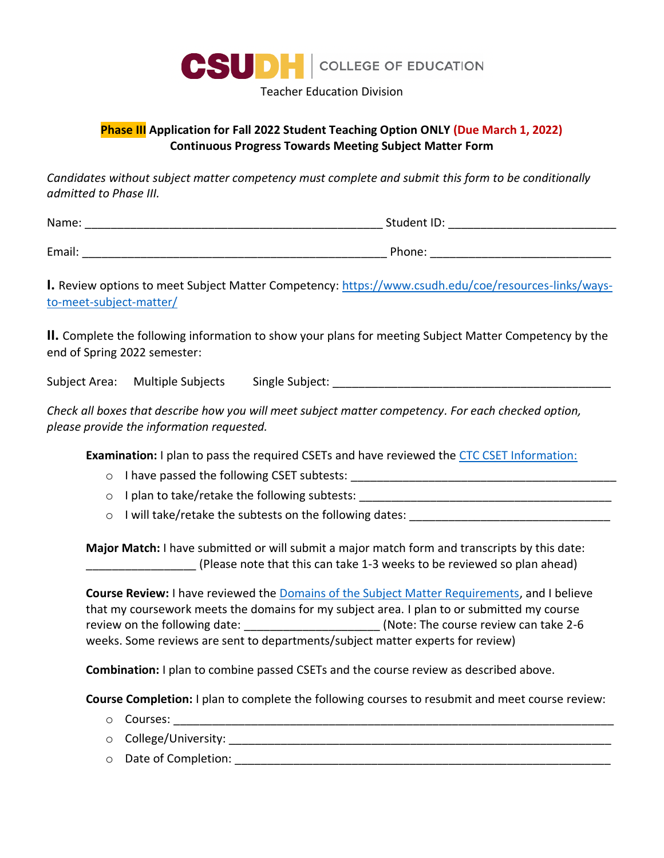

Teacher Education Division

## **Phase III Application for Fall 2022 Student Teaching Option ONLY (Due March 1, 2022) Continuous Progress Towards Meeting Subject Matter Form**

*Candidates without subject matter competency must complete and submit this form to be conditionally admitted to Phase III.*

| Name:  | Student ID: |
|--------|-------------|
|        |             |
| Email: | Phone:      |

**I.** Review options to meet Subject Matter Competency: [https://www.csudh.edu/coe/resources-links/ways](https://www.csudh.edu/coe/resources-links/ways-to-meet-subject-matter/)[to-meet-subject-matter/](https://www.csudh.edu/coe/resources-links/ways-to-meet-subject-matter/)

**II.** Complete the following information to show your plans for meeting Subject Matter Competency by the end of Spring 2022 semester:

Subject Area:  $\square$  Multiple Subjects  $\square$  Single Subject:  $\square$ 

*Check all boxes that describe how you will meet subject matter competency. For each checked option, please provide the information requested.*

**Examination:** I plan to pass the required CSETs and have reviewed the [CTC CSET Information:](http://www.ctcexams.nesinc.com/PageView.aspx?f=GEN_Tests.html)

- $\circ$  I have passed the following CSET subtests:
- $\circ$  I plan to take/retake the following subtests:  $\circ$

o I will take/retake the subtests on the following dates: \_\_\_\_\_\_\_\_\_\_\_\_\_\_\_\_\_\_\_\_\_\_\_\_\_\_\_\_\_\_\_

**Major Match:** I have submitted or will submit a major match form and transcripts by this date: \_\_\_\_\_\_\_\_\_\_\_\_\_\_\_\_\_ (Please note that this can take 1-3 weeks to be reviewed so plan ahead)

 **Course Review:** I have reviewed th[e Domains of the Subject Matter Requirements,](https://www.ctc.ca.gov/docs/default-source/educator-prep/files/domains-of-subject-matter-requirements.pdf?sfvrsn=dcd525b1_2) and I believe that my coursework meets the domains for my subject area. I plan to or submitted my course review on the following date:  $\blacksquare$  (Note: The course review can take 2-6 weeks. Some reviews are sent to departments/subject matter experts for review)

**Combination:** I plan to combine passed CSETs and the course review as described above.

**Course Completion:** I plan to complete the following courses to resubmit and meet course review:

- $\circ$  Courses:
- o College/University:
- $\circ$  Date of Completion:  $\circ$  Date of Completion: